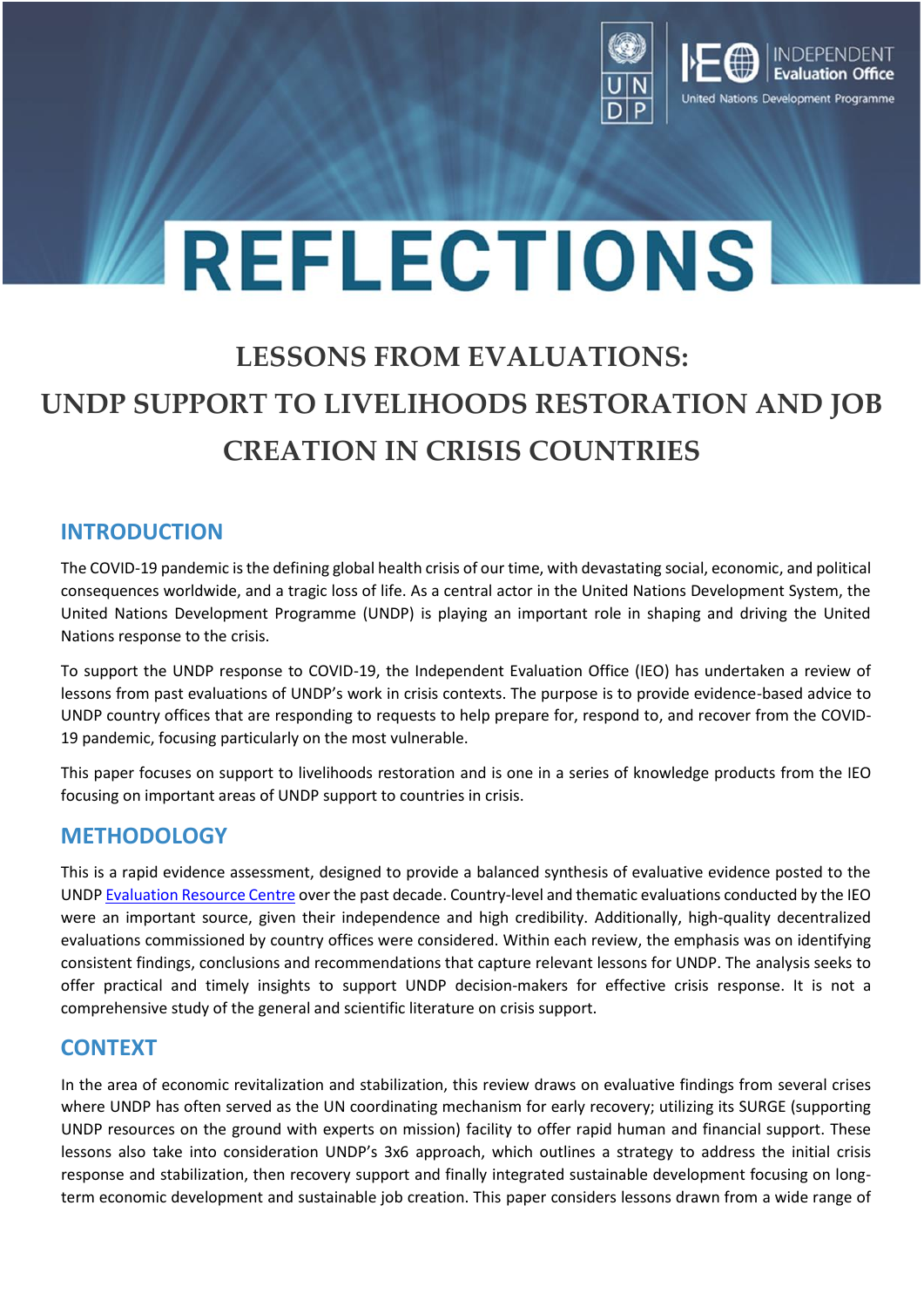

# **REFLECTIONS**

# **LESSONS FROM EVALUATIONS: UNDP SUPPORT TO LIVELIHOODS RESTORATION AND JOB CREATION IN CRISIS COUNTRIES**

#### **INTRODUCTION**

The COVID-19 pandemic is the defining global health crisis of our time, with devastating social, economic, and political consequences worldwide, and a tragic loss of life. As a central actor in the United Nations Development System, the United Nations Development Programme (UNDP) is playing an important role in shaping and driving the United Nations response to the crisis.

To support the UNDP response to COVID-19, the Independent Evaluation Office (IEO) has undertaken a review of lessons from past evaluations of UNDP's work in crisis contexts. The purpose is to provide evidence-based advice to UNDP country offices that are responding to requests to help prepare for, respond to, and recover from the COVID-19 pandemic, focusing particularly on the most vulnerable.

This paper focuses on support to livelihoods restoration and is one in a series of knowledge products from the IEO focusing on important areas of UNDP support to countries in crisis.

#### **METHODOLOGY**

This is a rapid evidence assessment, designed to provide a balanced synthesis of evaluative evidence posted to the UNDP [Evaluation Resource Centre](https://erc.undp.org/) over the past decade. Country-level and thematic evaluations conducted by the IEO were an important source, given their independence and high credibility. Additionally, high-quality decentralized evaluations commissioned by country offices were considered. Within each review, the emphasis was on identifying consistent findings, conclusions and recommendations that capture relevant lessons for UNDP. The analysis seeks to offer practical and timely insights to support UNDP decision-makers for effective crisis response. It is not a comprehensive study of the general and scientific literature on crisis support.

#### **CONTEXT**

In the area of economic revitalization and stabilization, this review draws on evaluative findings from several crises where UNDP has often served as the UN coordinating mechanism for early recovery; utilizing its SURGE (supporting UNDP resources on the ground with experts on mission) facility to offer rapid human and financial support. These lessons also take into consideration UNDP's 3x6 approach, which outlines a strategy to address the initial crisis response and stabilization, then recovery support and finally integrated sustainable development focusing on longterm economic development and sustainable job creation. This paper considers lessons drawn from a wide range of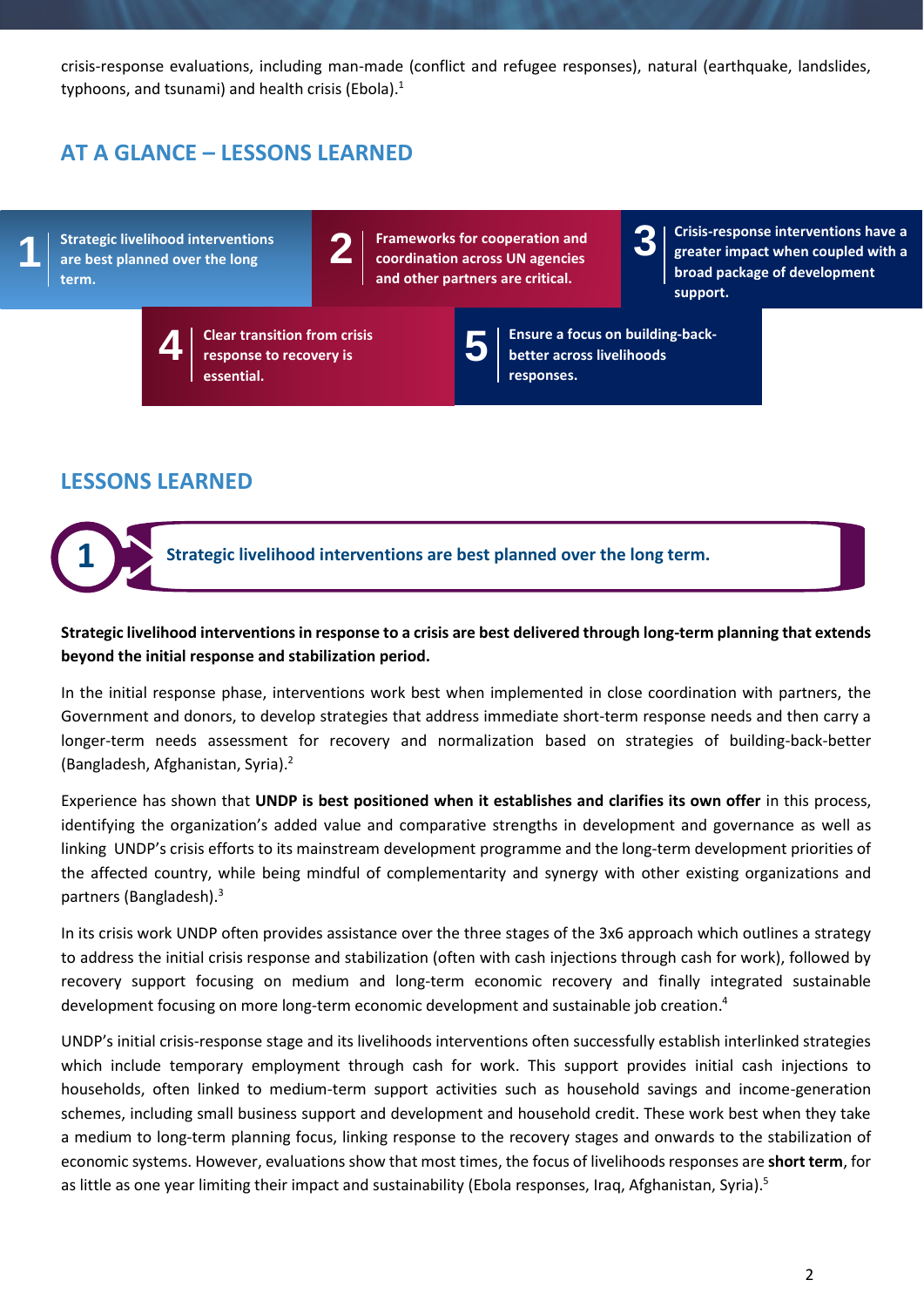crisis-response evaluations, including man-made (conflict and refugee responses), natural (earthquake, landslides, typhoons, and tsunami) and health crisis (Ebola).<sup>1</sup>

## **AT A GLANCE – LESSONS LEARNED**

**Strategic livelihood interventions are best planned over the long term.**

**1**



**3**

**Crisis-response interventions have a greater impact when coupled with a broad package of development support.**

**4**

**Clear transition from crisis response to recovery is essential.**

**5**

**Ensure a focus on building-backbetter across livelihoods responses.**

### **LESSONS LEARNED**



#### **Strategic livelihood interventions in response to a crisis are best delivered through long-term planning that extends beyond the initial response and stabilization period.**

In the initial response phase, interventions work best when implemented in close coordination with partners, the Government and donors, to develop strategies that address immediate short-term response needs and then carry a longer-term needs assessment for recovery and normalization based on strategies of building-back-better (Bangladesh, Afghanistan, Syria). 2

Experience has shown that **UNDP is best positioned when it establishes and clarifies its own offer** in this process, identifying the organization's added value and comparative strengths in development and governance as well as linking UNDP's crisis efforts to its mainstream development programme and the long-term development priorities of the affected country, while being mindful of complementarity and synergy with other existing organizations and partners (Bangladesh).<sup>3</sup>

In its crisis work UNDP often provides assistance over the three stages of the 3x6 approach which outlines a strategy to address the initial crisis response and stabilization (often with cash injections through cash for work), followed by recovery support focusing on medium and long-term economic recovery and finally integrated sustainable development focusing on more long-term economic development and sustainable job creation. 4

UNDP's initial crisis-response stage and its livelihoods interventions often successfully establish interlinked strategies which include temporary employment through cash for work. This support provides initial cash injections to households, often linked to medium-term support activities such as household savings and income-generation schemes, including small business support and development and household credit. These work best when they take a medium to long-term planning focus, linking response to the recovery stages and onwards to the stabilization of economic systems. However, evaluations show that most times, the focus of livelihoods responses are **short term**, for as little as one year limiting their impact and sustainability (Ebola responses, Iraq, Afghanistan, Syria).<sup>5</sup>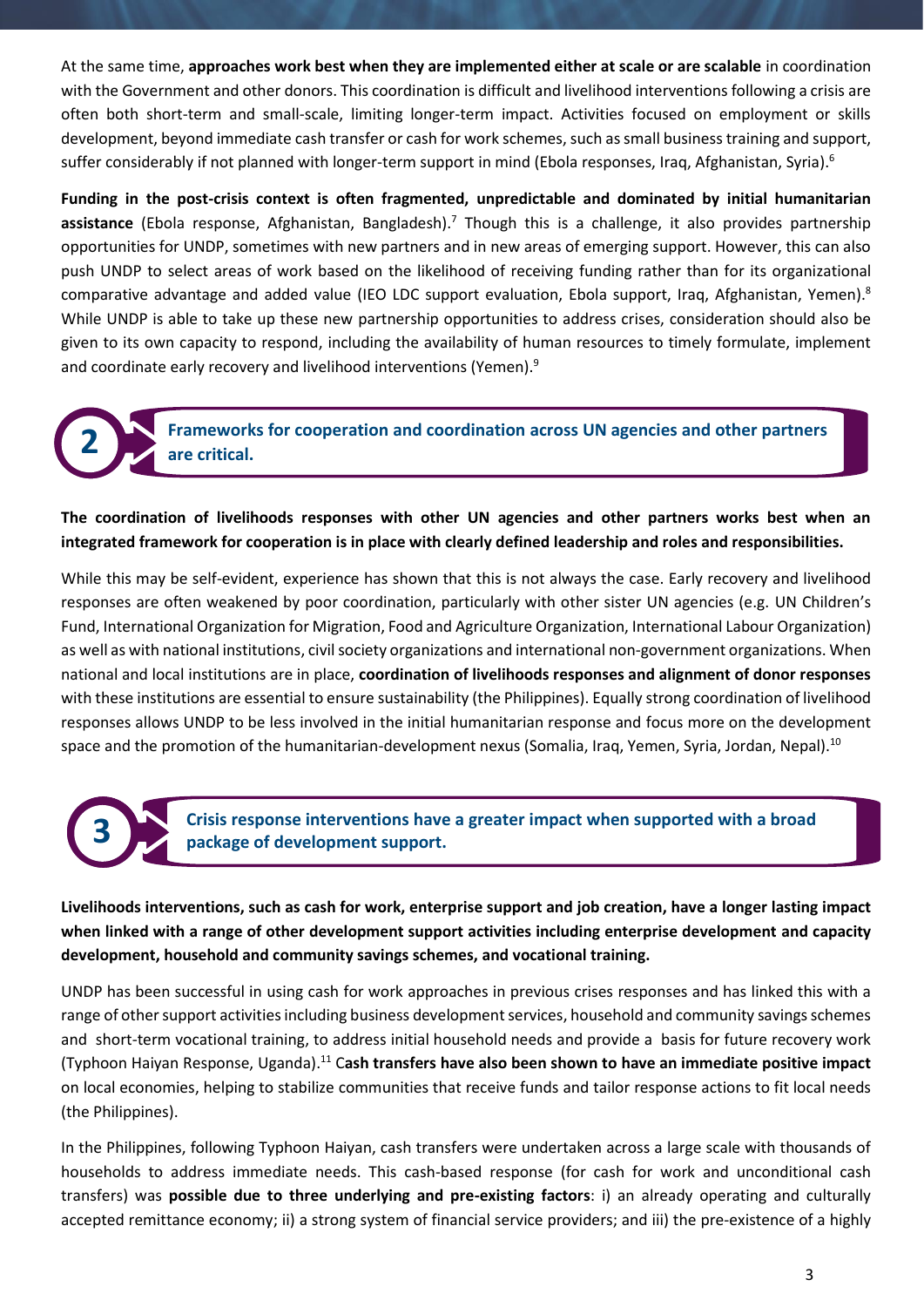At the same time, **approaches work best when they are implemented either at scale or are scalable** in coordination with the Government and other donors. This coordination is difficult and livelihood interventions following a crisis are often both short-term and small-scale, limiting longer-term impact. Activities focused on employment or skills development, beyond immediate cash transfer or cash for work schemes, such as small business training and support, suffer considerably if not planned with longer-term support in mind (Ebola responses, Iraq, Afghanistan, Syria).<sup>6</sup>

**Funding in the post-crisis context is often fragmented, unpredictable and dominated by initial humanitarian assistance** (Ebola response, Afghanistan, Bangladesh).<sup>7</sup> Though this is a challenge, it also provides partnership opportunities for UNDP, sometimes with new partners and in new areas of emerging support. However, this can also push UNDP to select areas of work based on the likelihood of receiving funding rather than for its organizational comparative advantage and added value (IEO LDC support evaluation, Ebola support, Iraq, Afghanistan, Yemen).<sup>8</sup> While UNDP is able to take up these new partnership opportunities to address crises, consideration should also be given to its own capacity to respond, including the availability of human resources to timely formulate, implement and coordinate early recovery and livelihood interventions (Yemen).<sup>9</sup>

> **Frameworks for cooperation and coordination across UN agencies and other partners are critical.**

**The coordination of livelihoods responses with other UN agencies and other partners works best when an integrated framework for cooperation is in place with clearly defined leadership and roles and responsibilities.**

While this may be self-evident, experience has shown that this is not always the case. Early recovery and livelihood responses are often weakened by poor coordination, particularly with other sister UN agencies (e.g. UN Children's Fund, International Organization for Migration, Food and Agriculture Organization, International Labour Organization) as well as with national institutions, civil society organizations and international non-government organizations. When national and local institutions are in place, **coordination of livelihoods responses and alignment of donor responses** with these institutions are essential to ensure sustainability (the Philippines). Equally strong coordination of livelihood responses allows UNDP to be less involved in the initial humanitarian response and focus more on the development space and the promotion of the humanitarian-development nexus (Somalia, Iraq, Yemen, Syria, Jordan, Nepal).<sup>10</sup>

**3**

**2**

**Crisis response interventions have a greater impact when supported with a broad package of development support.**

**Livelihoods interventions, such as cash for work, enterprise support and job creation, have a longer lasting impact when linked with a range of other development support activities including enterprise development and capacity development, household and community savings schemes, and vocational training.**

UNDP has been successful in using cash for work approaches in previous crises responses and has linked this with a range of other support activities including business development services, household and community savings schemes and short-term vocational training, to address initial household needs and provide a basis for future recovery work (Typhoon Haiyan Response, Uganda). <sup>11</sup> C**ash transfers have also been shown to have an immediate positive impact** on local economies, helping to stabilize communities that receive funds and tailor response actions to fit local needs (the Philippines).

In the Philippines, following Typhoon Haiyan, cash transfers were undertaken across a large scale with thousands of households to address immediate needs. This cash-based response (for cash for work and unconditional cash transfers) was **possible due to three underlying and pre-existing factors**: i) an already operating and culturally accepted remittance economy; ii) a strong system of financial service providers; and iii) the pre-existence of a highly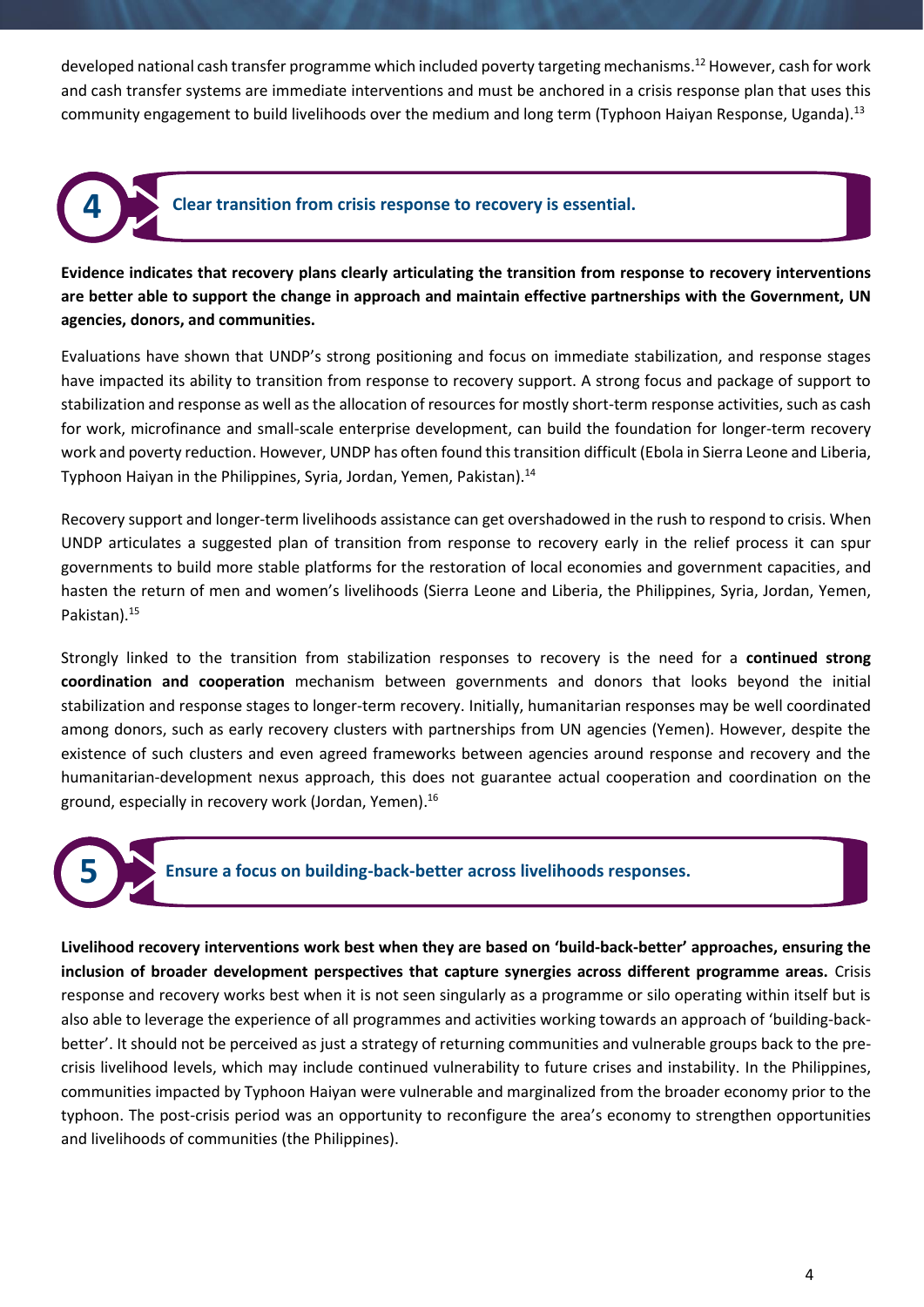developed national cash transfer programme which included poverty targeting mechanisms. <sup>12</sup> However, cash for work and cash transfer systems are immediate interventions and must be anchored in a crisis response plan that uses this community engagement to build livelihoods over the medium and long term (Typhoon Haiyan Response, Uganda).<sup>13</sup>



**4 Clear transition from crisis response to recovery is essential.**

**Evidence indicates that recovery plans clearly articulating the transition from response to recovery interventions are better able to support the change in approach and maintain effective partnerships with the Government, UN agencies, donors, and communities.**

Evaluations have shown that UNDP's strong positioning and focus on immediate stabilization, and response stages have impacted its ability to transition from response to recovery support. A strong focus and package of support to stabilization and response as well as the allocation of resources for mostly short-term response activities, such as cash for work, microfinance and small-scale enterprise development, can build the foundation for longer-term recovery work and poverty reduction. However, UNDP has often found this transition difficult (Ebola in Sierra Leone and Liberia, Typhoon Haiyan in the Philippines, Syria, Jordan, Yemen, Pakistan).<sup>14</sup>

Recovery support and longer-term livelihoods assistance can get overshadowed in the rush to respond to crisis. When UNDP articulates a suggested plan of transition from response to recovery early in the relief process it can spur governments to build more stable platforms for the restoration of local economies and government capacities, and hasten the return of men and women's livelihoods (Sierra Leone and Liberia, the Philippines, Syria, Jordan, Yemen, Pakistan).<sup>15</sup>

Strongly linked to the transition from stabilization responses to recovery is the need for a **continued strong coordination and cooperation** mechanism between governments and donors that looks beyond the initial stabilization and response stages to longer-term recovery. Initially, humanitarian responses may be well coordinated among donors, such as early recovery clusters with partnerships from UN agencies (Yemen). However, despite the existence of such clusters and even agreed frameworks between agencies around response and recovery and the humanitarian-development nexus approach, this does not guarantee actual cooperation and coordination on the ground, especially in recovery work (Jordan, Yemen). 16



**5 Ensure a focus on building-back-better across livelihoods responses.**

**Livelihood recovery interventions work best when they are based on 'build-back-better' approaches, ensuring the inclusion of broader development perspectives that capture synergies across different programme areas.** Crisis response and recovery works best when it is not seen singularly as a programme or silo operating within itself but is also able to leverage the experience of all programmes and activities working towards an approach of 'building-backbetter'. It should not be perceived as just a strategy of returning communities and vulnerable groups back to the precrisis livelihood levels, which may include continued vulnerability to future crises and instability. In the Philippines, communities impacted by Typhoon Haiyan were vulnerable and marginalized from the broader economy prior to the typhoon. The post-crisis period was an opportunity to reconfigure the area's economy to strengthen opportunities and livelihoods of communities (the Philippines).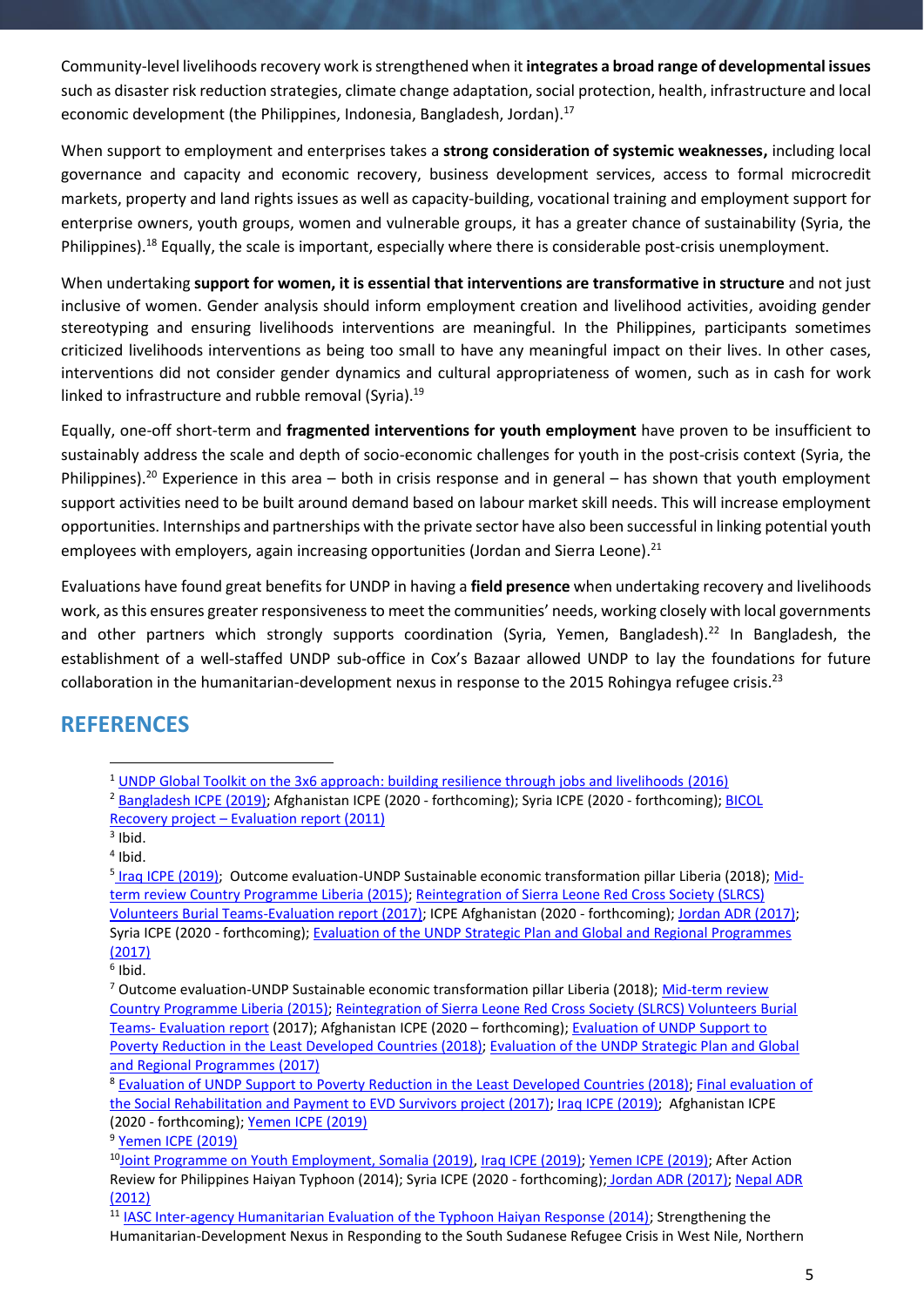Community-level livelihoods recovery work is strengthened when it **integrates a broad range of developmental issues** such as disaster risk reduction strategies, climate change adaptation, social protection, health, infrastructure and local economic development (the Philippines, Indonesia, Bangladesh, Jordan).<sup>17</sup>

When support to employment and enterprises takes a **strong consideration of systemic weaknesses,** including local governance and capacity and economic recovery, business development services, access to formal microcredit markets, property and land rights issues as well as capacity-building, vocational training and employment support for enterprise owners, youth groups, women and vulnerable groups, it has a greater chance of sustainability (Syria, the Philippines).<sup>18</sup> Equally, the scale is important, especially where there is considerable post-crisis unemployment.

When undertaking **support for women, it is essential that interventions are transformative in structure** and not just inclusive of women. Gender analysis should inform employment creation and livelihood activities, avoiding gender stereotyping and ensuring livelihoods interventions are meaningful. In the Philippines, participants sometimes criticized livelihoods interventions as being too small to have any meaningful impact on their lives. In other cases, interventions did not consider gender dynamics and cultural appropriateness of women, such as in cash for work linked to infrastructure and rubble removal (Syria).<sup>19</sup>

Equally, one-off short-term and **fragmented interventions for youth employment** have proven to be insufficient to sustainably address the scale and depth of socio-economic challenges for youth in the post-crisis context (Syria, the Philippines).<sup>20</sup> Experience in this area – both in crisis response and in general – has shown that youth employment support activities need to be built around demand based on labour market skill needs. This will increase employment opportunities. Internships and partnerships with the private sector have also been successful in linking potential youth employees with employers, again increasing opportunities (Jordan and Sierra Leone).<sup>21</sup>

Evaluations have found great benefits for UNDP in having a **field presence** when undertaking recovery and livelihoods work, as this ensures greater responsiveness to meet the communities' needs, working closely with local governments and other partners which strongly supports coordination (Syria, Yemen, Bangladesh).<sup>22</sup> In Bangladesh, the establishment of a well-staffed UNDP sub-office in Cox's Bazaar allowed UNDP to lay the foundations for future collaboration in the humanitarian-development nexus in response to the 2015 Rohingya refugee crisis.<sup>23</sup>

#### **REFERENCES**

<sup>1</sup> [UNDP Global Toolkit on the 3x6 approach: building resilience through jobs and livelihoods](http://earlyrecovery.global/sites/default/files/3x6_toolkit_building_resilience_through_jobs_and_livelihoods.pdf) (2016)

<sup>&</sup>lt;sup>2</sup> [Bangladesh](https://erc.undp.org/evaluation/evaluations/detail/12265) ICPE (2019); Afghanistan ICPE (2020 - forthcoming); Syria ICPE (2020 - forthcoming); BICOL Recovery project – [Evaluation report \(2011\)](https://erc.undp.org/evaluation/documents/download/5336)

 $3$  Ibid.

<sup>4</sup> Ibid.

<sup>&</sup>lt;sup>5</sup> Iraq ICPE [\(2019\);](https://erc.undp.org/evaluation/evaluations/detail/12276) Outcome evaluation-UNDP Sustainable economic transformation pillar Liberia (2018); [Mid](https://erc.undp.org/evaluation/evaluations/detail/8572)term [review Country Programme Liberia \(2015\);](https://erc.undp.org/evaluation/evaluations/detail/8572) [Reintegration of Sierra Leone Red Cross Society \(SLRCS\)](https://erc.undp.org/evaluation/evaluations/detail/9294)  [Volunteers Burial Teams-Evaluation report \(2017\);](https://erc.undp.org/evaluation/evaluations/detail/9294) ICPE Afghanistan (2020 - forthcoming); [Jordan](https://erc.undp.org/evaluation/evaluations/detail/8472) ADR (2017); Syria ICPE (2020 - forthcoming); [Evaluation of the UNDP Strategic Plan and Global and Regional Programmes](http://web.undp.org/evaluation/evaluations/thematic/sgrp.shtml) [\(2017\)](http://web.undp.org/evaluation/evaluations/thematic/sgrp.shtml)

 $<sup>6</sup>$  Ibid.</sup>

<sup>&</sup>lt;sup>7</sup> Outcome evaluation-UNDP Sustainable economic transformation pillar Liberia (2018); [Mid-term](https://erc.undp.org/evaluation/evaluations/detail/8572) review [Country Programme Liberia \(2015\);](https://erc.undp.org/evaluation/evaluations/detail/8572) [Reintegration of Sierra Leone Red Cross Society \(SLRCS\) Volunteers Burial](https://erc.undp.org/evaluation/evaluations/detail/9294)  Teams- [Evaluation report](https://erc.undp.org/evaluation/evaluations/detail/9294) (2017); Afghanistan ICPE (2020 – forthcoming); [Evaluation of UNDP Support to](http://web.undp.org/evaluation/evaluations/thematic/poverty-ldc.shtml)  [Poverty Reduction in the Least Developed Countries \(2018\);](http://web.undp.org/evaluation/evaluations/thematic/poverty-ldc.shtml) [Evaluation of the UNDP Strategic Plan and Global](http://web.undp.org/evaluation/evaluations/thematic/sgrp.shtml)  [and Regional Programmes](http://web.undp.org/evaluation/evaluations/thematic/sgrp.shtml) (2017)

<sup>8</sup> [Evaluation of UNDP Support to Poverty Reduction in the Least Developed Countries \(2018\);](http://web.undp.org/evaluation/evaluations/thematic/poverty-ldc.shtml) [Final evaluation](https://erc.undp.org/evaluation/documents/detail/11163) of [the Social Rehabilitation and Payment to EVD Survivors project \(2017\);](https://erc.undp.org/evaluation/documents/detail/11163) Iraq ICPE [\(2019\);](https://erc.undp.org/evaluation/evaluations/detail/12276) Afghanistan ICPE (2020 - forthcoming); [Yemen](https://erc.undp.org/evaluation/evaluations/detail/9407) ICPE (2019)

<sup>&</sup>lt;sup>9</sup> [Yemen](https://erc.undp.org/evaluation/evaluations/detail/9407) ICPE (2019)

<sup>10</sup>[Joint Programme on Youth Employment, Somalia \(2019\),](https://erc.undp.org/evaluation/evaluations/detail/12343) Iraq ICPE [\(2019\);](https://erc.undp.org/evaluation/evaluations/detail/12276) [Yemen](https://erc.undp.org/evaluation/evaluations/detail/9407) ICPE (2019); After Action Review for Philippines Haiyan Typhoon (2014); Syria ICPE (2020 - forthcoming); Jordan ADR [\(2017\);](https://erc.undp.org/evaluation/evaluations/detail/8472) [Nepal](https://erc.undp.org/evaluation/evaluations/detail/6005) ADR [\(2012\)](https://erc.undp.org/evaluation/evaluations/detail/6005)

<sup>11</sup> [IASC Inter-agency Humanitarian Evaluation of the Typhoon Haiyan Response \(2014\);](https://interagencystandingcommittee.org/system/files/evaluation_report_iahe_haiyan_december_2016.pdf) Strengthening the Humanitarian-Development Nexus in Responding to the South Sudanese Refugee Crisis in West Nile, Northern